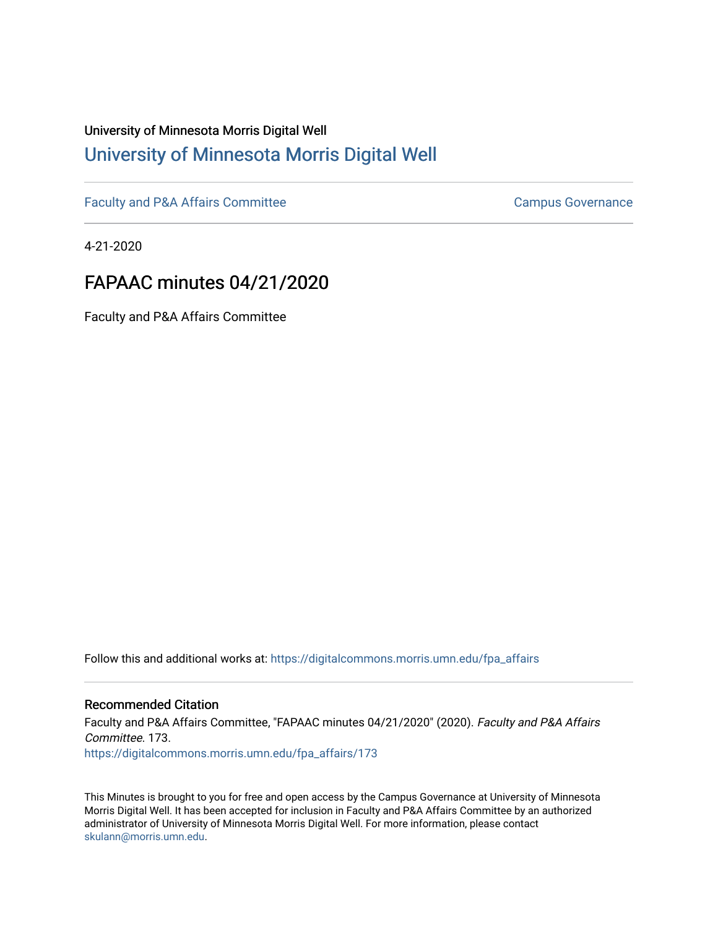# University of Minnesota Morris Digital Well [University of Minnesota Morris Digital Well](https://digitalcommons.morris.umn.edu/)

[Faculty and P&A Affairs Committee](https://digitalcommons.morris.umn.edu/fpa_affairs) [Campus Governance](https://digitalcommons.morris.umn.edu/campgov) Campus Governance

4-21-2020

# FAPAAC minutes 04/21/2020

Faculty and P&A Affairs Committee

Follow this and additional works at: [https://digitalcommons.morris.umn.edu/fpa\\_affairs](https://digitalcommons.morris.umn.edu/fpa_affairs?utm_source=digitalcommons.morris.umn.edu%2Ffpa_affairs%2F173&utm_medium=PDF&utm_campaign=PDFCoverPages)

## Recommended Citation

Faculty and P&A Affairs Committee, "FAPAAC minutes 04/21/2020" (2020). Faculty and P&A Affairs Committee. 173. [https://digitalcommons.morris.umn.edu/fpa\\_affairs/173](https://digitalcommons.morris.umn.edu/fpa_affairs/173?utm_source=digitalcommons.morris.umn.edu%2Ffpa_affairs%2F173&utm_medium=PDF&utm_campaign=PDFCoverPages)

This Minutes is brought to you for free and open access by the Campus Governance at University of Minnesota Morris Digital Well. It has been accepted for inclusion in Faculty and P&A Affairs Committee by an authorized administrator of University of Minnesota Morris Digital Well. For more information, please contact [skulann@morris.umn.edu.](mailto:skulann@morris.umn.edu)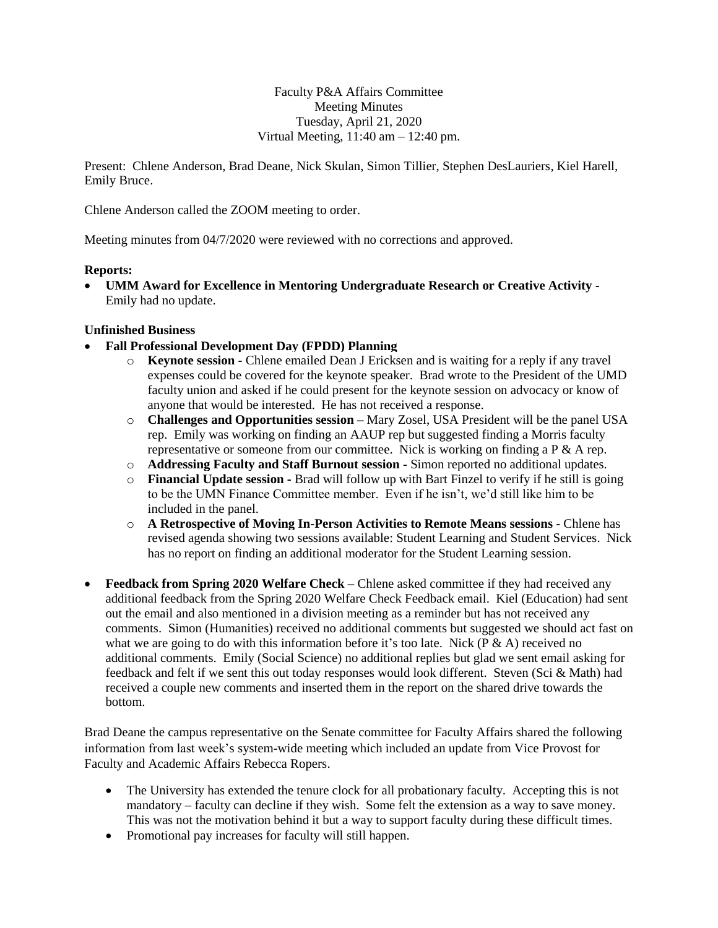Faculty P&A Affairs Committee Meeting Minutes Tuesday, April 21, 2020 Virtual Meeting,  $11:40$  am  $-12:40$  pm.

Present: Chlene Anderson, Brad Deane, Nick Skulan, Simon Tillier, Stephen DesLauriers, Kiel Harell, Emily Bruce.

Chlene Anderson called the ZOOM meeting to order.

Meeting minutes from 04/7/2020 were reviewed with no corrections and approved.

#### **Reports:**

 **[UMM Award for Excellence in Mentoring Undergraduate Research or Creative Activity](https://docs.google.com/document/d/1FjuNb6Zat8mHLtoH98dI3jbKK3la0lDUU929bIdbyIQ/edit?usp=sharing) -** Emily had no update.

#### **Unfinished Business**

- **Fall Professional Development Day (FPDD) Planning**
	- o **Keynote session -** Chlene emailed Dean J Ericksen and is waiting for a reply if any travel expenses could be covered for the keynote speaker. Brad wrote to the President of the UMD faculty union and asked if he could present for the keynote session on advocacy or know of anyone that would be interested. He has not received a response.
	- o **Challenges and Opportunities session –** Mary Zosel, USA President will be the panel USA rep. Emily was working on finding an AAUP rep but suggested finding a Morris faculty representative or someone from our committee. Nick is working on finding a  $P \& A$  rep.
	- o **Addressing Faculty and Staff Burnout session -** Simon reported no additional updates.
	- o **Financial Update session -** Brad will follow up with Bart Finzel to verify if he still is going to be the UMN Finance Committee member. Even if he isn't, we'd still like him to be included in the panel.
	- o **A Retrospective of Moving In-Person Activities to Remote Means sessions -** Chlene has revised agenda showing two sessions available: Student Learning and Student Services. Nick has no report on finding an additional moderator for the Student Learning session.
- **Feedback from Spring 2020 Welfare Check –** Chlene asked committee if they had received any additional feedback from the Spring 2020 Welfare Check Feedback email. Kiel (Education) had sent out the email and also mentioned in a division meeting as a reminder but has not received any comments. Simon (Humanities) received no additional comments but suggested we should act fast on what we are going to do with this information before it's too late. Nick ( $P \& A$ ) received no additional comments. Emily (Social Science) no additional replies but glad we sent email asking for feedback and felt if we sent this out today responses would look different. Steven (Sci & Math) had received a couple new comments and inserted them in the report on the shared drive towards the bottom.

Brad Deane the campus representative on the Senate committee for Faculty Affairs shared the following information from last week's system-wide meeting which included an update from Vice Provost for Faculty and Academic Affairs Rebecca Ropers.

- The University has extended the tenure clock for all probationary faculty. Accepting this is not mandatory – faculty can decline if they wish. Some felt the extension as a way to save money. This was not the motivation behind it but a way to support faculty during these difficult times.
- Promotional pay increases for faculty will still happen.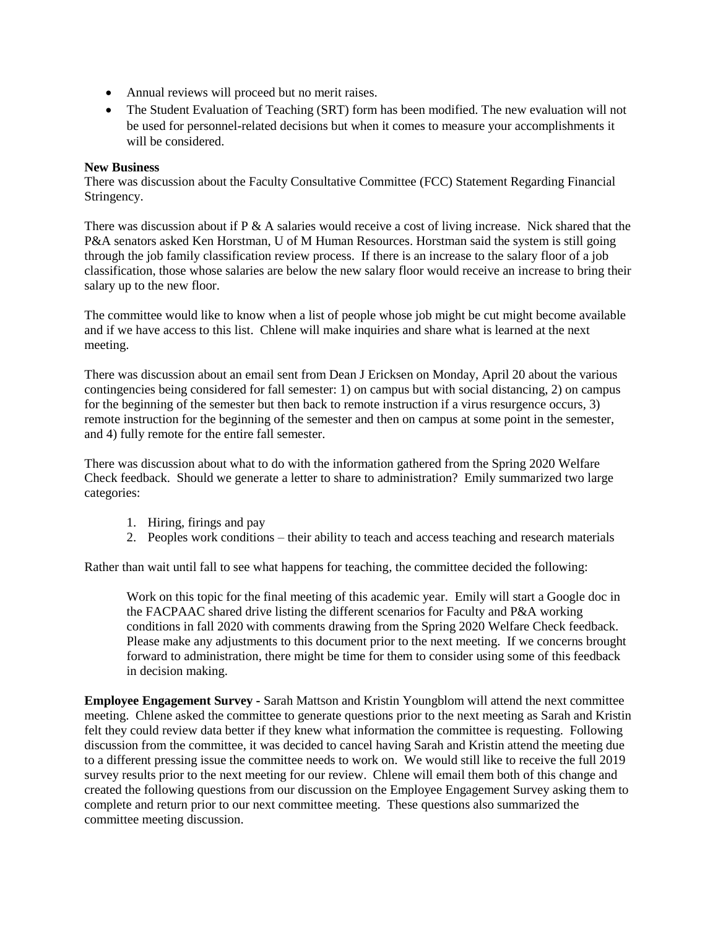- Annual reviews will proceed but no merit raises.
- The Student Evaluation of Teaching (SRT) form has been modified. The new evaluation will not be used for personnel-related decisions but when it comes to measure your accomplishments it will be considered.

### **New Business**

There was discussion about the Faculty Consultative Committee (FCC) Statement Regarding Financial Stringency.

There was discussion about if  $P \& A$  salaries would receive a cost of living increase. Nick shared that the P&A senators asked Ken Horstman, U of M Human Resources. Horstman said the system is still going through the job family classification review process. If there is an increase to the salary floor of a job classification, those whose salaries are below the new salary floor would receive an increase to bring their salary up to the new floor.

The committee would like to know when a list of people whose job might be cut might become available and if we have access to this list. Chlene will make inquiries and share what is learned at the next meeting.

There was discussion about an email sent from Dean J Ericksen on Monday, April 20 about the various contingencies being considered for fall semester: 1) on campus but with social distancing, 2) on campus for the beginning of the semester but then back to remote instruction if a virus resurgence occurs, 3) remote instruction for the beginning of the semester and then on campus at some point in the semester, and 4) fully remote for the entire fall semester.

There was discussion about what to do with the information gathered from the Spring 2020 Welfare Check feedback. Should we generate a letter to share to administration? Emily summarized two large categories:

- 1. Hiring, firings and pay
- 2. Peoples work conditions their ability to teach and access teaching and research materials

Rather than wait until fall to see what happens for teaching, the committee decided the following:

Work on this topic for the final meeting of this academic year. Emily will start a Google doc in the FACPAAC shared drive listing the different scenarios for Faculty and P&A working conditions in fall 2020 with comments drawing from the Spring 2020 Welfare Check feedback. Please make any adjustments to this document prior to the next meeting. If we concerns brought forward to administration, there might be time for them to consider using some of this feedback in decision making.

**Employee Engagement Survey -** Sarah Mattson and Kristin Youngblom will attend the next committee meeting. Chlene asked the committee to generate questions prior to the next meeting as Sarah and Kristin felt they could review data better if they knew what information the committee is requesting. Following discussion from the committee, it was decided to cancel having Sarah and Kristin attend the meeting due to a different pressing issue the committee needs to work on. We would still like to receive the full 2019 survey results prior to the next meeting for our review. Chlene will email them both of this change and created the following questions from our discussion on the Employee Engagement Survey asking them to complete and return prior to our next committee meeting. These questions also summarized the committee meeting discussion.